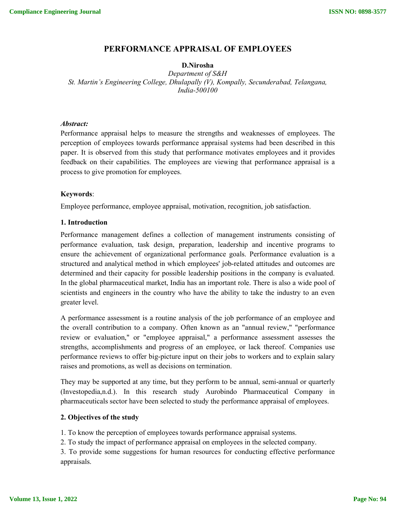# **PERFORMANCE APPRAISAL OF EMPLOYEES**

# **D.Nirosha**

*Department of S&H St. Martin's Engineering College, Dhulapally (V), Kompally, Secunderabad, Telangana, India-500100*

# *Abstract:*

Performance appraisal helps to measure the strengths and weaknesses of employees. The perception of employees towards performance appraisal systems had been described in this paper. It is observed from this study that performance motivates employees and it provides feedback on their capabilities. The employees are viewing that performance appraisal is a process to give promotion for employees.

# **Keywords**:

Employee performance, employee appraisal, motivation, recognition, job satisfaction.

# **1. Introduction**

Performance management defines a collection of management instruments consisting of performance evaluation, task design, preparation, leadership and incentive programs to ensure the achievement of organizational performance goals. Performance evaluation is a structured and analytical method in which employees' job-related attitudes and outcomes are determined and their capacity for possible leadership positions in the company is evaluated. In the global pharmaceutical market, India has an important role. There is also a wide pool of scientists and engineers in the country who have the ability to take the industry to an even greater level.

A performance assessment is a routine analysis of the job performance of an employee and the overall contribution to a company. Often known as an "annual review," "performance review or evaluation," or "employee appraisal," a performance assessment assesses the strengths, accomplishments and progress of an employee, or lack thereof. Companies use performance reviews to offer big-picture input on their jobs to workers and to explain salary raises and promotions, as well as decisions on termination.

They may be supported at any time, but they perform to be annual, semi-annual or quarterly (Investopedia,n.d.). In this research study Aurobindo Pharmaceutical Company in pharmaceuticals sector have been selected to study the performance appraisal of employees.

# **2. Objectives of the study**

1. To know the perception of employees towards performance appraisal systems.

2. To study the impact of performance appraisal on employees in the selected company.

3. To provide some suggestions for human resources for conducting effective performance appraisals.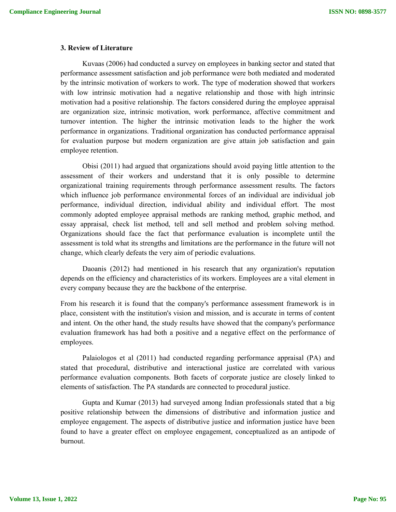# **3. Review of Literature**

Kuvaas (2006) had conducted a survey on employees in banking sector and stated that performance assessment satisfaction and job performance were both mediated and moderated by the intrinsic motivation of workers to work. The type of moderation showed that workers with low intrinsic motivation had a negative relationship and those with high intrinsic motivation had a positive relationship. The factors considered during the employee appraisal are organization size, intrinsic motivation, work performance, affective commitment and turnover intention. The higher the intrinsic motivation leads to the higher the work performance in organizations. Traditional organization has conducted performance appraisal for evaluation purpose but modern organization are give attain job satisfaction and gain employee retention.

Obisi (2011) had argued that organizations should avoid paying little attention to the assessment of their workers and understand that it is only possible to determine organizational training requirements through performance assessment results. The factors which influence job performance environmental forces of an individual are individual job performance, individual direction, individual ability and individual effort. The most commonly adopted employee appraisal methods are ranking method, graphic method, and essay appraisal, check list method, tell and sell method and problem solving method. Organizations should face the fact that performance evaluation is incomplete until the assessment is told what its strengths and limitations are the performance in the future will not change, which clearly defeats the very aim of periodic evaluations.

Daoanis (2012) had mentioned in his research that any organization's reputation depends on the efficiency and characteristics of its workers. Employees are a vital element in every company because they are the backbone of the enterprise.

From his research it is found that the company's performance assessment framework is in place, consistent with the institution's vision and mission, and is accurate in terms of content and intent. On the other hand, the study results have showed that the company's performance evaluation framework has had both a positive and a negative effect on the performance of employees.

Palaiologos et al (2011) had conducted regarding performance appraisal (PA) and stated that procedural, distributive and interactional justice are correlated with various performance evaluation components. Both facets of corporate justice are closely linked to elements of satisfaction. The PA standards are connected to procedural justice.

Gupta and Kumar (2013) had surveyed among Indian professionals stated that a big positive relationship between the dimensions of distributive and information justice and employee engagement. The aspects of distributive justice and information justice have been found to have a greater effect on employee engagement, conceptualized as an antipode of burnout.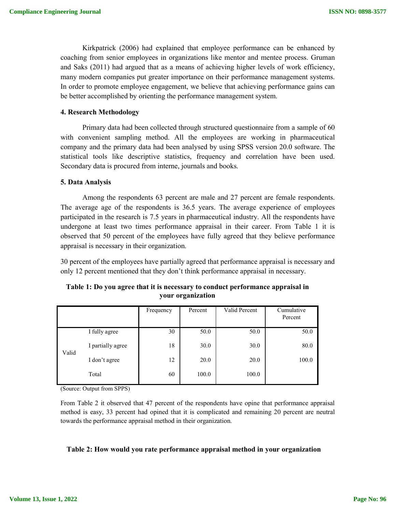Kirkpatrick (2006) had explained that employee performance can be enhanced by coaching from senior employees in organizations like mentor and mentee process. Gruman and Saks (2011) had argued that as a means of achieving higher levels of work efficiency, many modern companies put greater importance on their performance management systems. In order to promote employee engagement, we believe that achieving performance gains can be better accomplished by orienting the performance management system.

# **4. Research Methodology**

Primary data had been collected through structured questionnaire from a sample of 60 with convenient sampling method. All the employees are working in pharmaceutical company and the primary data had been analysed by using SPSS version 20.0 software. The statistical tools like descriptive statistics, frequency and correlation have been used. Secondary data is procured from interne, journals and books.

# **5. Data Analysis**

Among the respondents 63 percent are male and 27 percent are female respondents. The average age of the respondents is 36.5 years. The average experience of employees participated in the research is 7.5 years in pharmaceutical industry. All the respondents have undergone at least two times performance appraisal in their career. From Table 1 it is observed that 50 percent of the employees have fully agreed that they believe performance appraisal is necessary in their organization.

30 percent of the employees have partially agreed that performance appraisal is necessary and only 12 percent mentioned that they don't think performance appraisal in necessary.

|       |                   | Frequency | Percent | Valid Percent | Cumulative<br>Percent |
|-------|-------------------|-----------|---------|---------------|-----------------------|
| Valid | I fully agree     | 30        | 50.0    | 50.0          | 50.0                  |
|       | I partially agree | 18        | 30.0    | 30.0          | 80.0                  |
|       | I don't agree     | 12        | 20.0    | 20.0          | 100.0                 |
|       | Total             | 60        | 100.0   | 100.0         |                       |

**Table 1: Do you agree that it is necessary to conduct performance appraisal in your organization**

(Source: Output from SPPS)

From Table 2 it observed that 47 percent of the respondents have opine that performance appraisal method is easy, 33 percent had opined that it is complicated and remaining 20 percent are neutral towards the performance appraisal method in their organization.

## **Table 2: How would you rate performance appraisal method in your organization**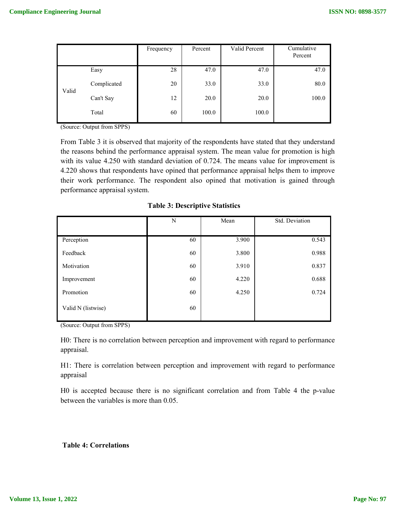|       |             | Frequency | Percent | Valid Percent | Cumulative<br>Percent |
|-------|-------------|-----------|---------|---------------|-----------------------|
| Valid | Easy        | 28        | 47.0    | 47.0          | 47.0                  |
|       | Complicated | 20        | 33.0    | 33.0          | 80.0                  |
|       | Can't Say   | 12        | 20.0    | 20.0          | 100.0                 |
|       | Total       | 60        | 100.0   | 100.0         |                       |

(Source: Output from SPPS)

From Table 3 it is observed that majority of the respondents have stated that they understand the reasons behind the performance appraisal system. The mean value for promotion is high with its value 4.250 with standard deviation of 0.724. The means value for improvement is 4.220 shows that respondents have opined that performance appraisal helps them to improve their work performance. The respondent also opined that motivation is gained through performance appraisal system.

|                    | N  | Mean  | Std. Deviation |  |
|--------------------|----|-------|----------------|--|
|                    |    |       |                |  |
| Perception         | 60 | 3.900 | 0.543          |  |
| Feedback           | 60 | 3.800 | 0.988          |  |
| Motivation         | 60 | 3.910 | 0.837          |  |
| Improvement        | 60 | 4.220 | 0.688          |  |
| Promotion          | 60 | 4.250 | 0.724          |  |
| Valid N (listwise) | 60 |       |                |  |

**Table 3: Descriptive Statistics**

(Source: Output from SPPS)

H0: There is no correlation between perception and improvement with regard to performance appraisal.

H1: There is correlation between perception and improvement with regard to performance appraisal

H0 is accepted because there is no significant correlation and from Table 4 the p-value between the variables is more than 0.05.

# **Table 4: Correlations**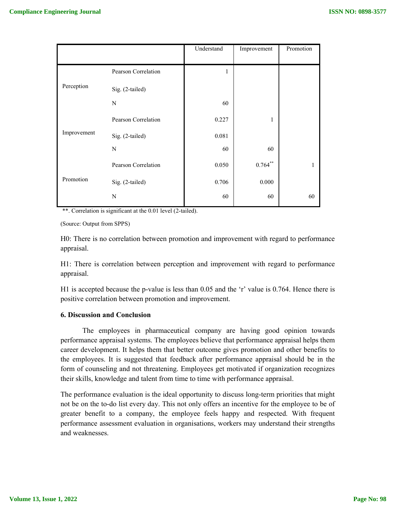|             |                     | Understand   | Improvement  | Promotion |
|-------------|---------------------|--------------|--------------|-----------|
|             |                     |              |              |           |
|             | Pearson Correlation | $\mathbf{1}$ |              |           |
| Perception  | Sig. (2-tailed)     |              |              |           |
|             | N                   | 60           |              |           |
|             | Pearson Correlation | 0.227        | 1            |           |
| Improvement | Sig. (2-tailed)     | 0.081        |              |           |
|             | N                   | 60           | 60           |           |
|             | Pearson Correlation | 0.050        | $0.764^{**}$ | 1         |
| Promotion   | Sig. (2-tailed)     | 0.706        | 0.000        |           |
|             | N                   | 60           | 60           | 60        |

\*\*. Correlation is significant at the 0.01 level (2-tailed).

(Source: Output from SPPS)

H0: There is no correlation between promotion and improvement with regard to performance appraisal.

H1: There is correlation between perception and improvement with regard to performance appraisal.

H1 is accepted because the p-value is less than 0.05 and the 'r' value is 0.764. Hence there is positive correlation between promotion and improvement.

# **6. Discussion and Conclusion**

The employees in pharmaceutical company are having good opinion towards performance appraisal systems. The employees believe that performance appraisal helps them career development. It helps them that better outcome gives promotion and other benefits to the employees. It is suggested that feedback after performance appraisal should be in the form of counseling and not threatening. Employees get motivated if organization recognizes their skills, knowledge and talent from time to time with performance appraisal.

The performance evaluation is the ideal opportunity to discuss long-term priorities that might not be on the to-do list every day. This not only offers an incentive for the employee to be of greater benefit to a company, the employee feels happy and respected. With frequent performance assessment evaluation in organisations, workers may understand their strengths and weaknesses.